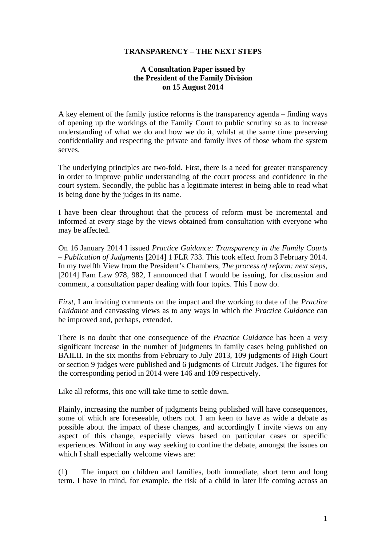## **TRANSPARENCY – THE NEXT STEPS**

## **A Consultation Paper issued by the President of the Family Division on 15 August 2014**

A key element of the family justice reforms is the transparency agenda – finding ways of opening up the workings of the Family Court to public scrutiny so as to increase understanding of what we do and how we do it, whilst at the same time preserving confidentiality and respecting the private and family lives of those whom the system serves.

The underlying principles are two-fold. First, there is a need for greater transparency in order to improve public understanding of the court process and confidence in the court system. Secondly, the public has a legitimate interest in being able to read what is being done by the judges in its name.

I have been clear throughout that the process of reform must be incremental and informed at every stage by the views obtained from consultation with everyone who may be affected.

On 16 January 2014 I issued *Practice Guidance: Transparency in the Family Courts – Publication of Judgments* [2014] 1 FLR 733. This took effect from 3 February 2014. In my twelfth View from the President's Chambers, *The process of reform: next steps*, [2014] Fam Law 978, 982, I announced that I would be issuing, for discussion and comment, a consultation paper dealing with four topics. This I now do.

*First*, I am inviting comments on the impact and the working to date of the *Practice Guidance* and canvassing views as to any ways in which the *Practice Guidance* can be improved and, perhaps, extended.

There is no doubt that one consequence of the *Practice Guidance* has been a very significant increase in the number of judgments in family cases being published on BAILII. In the six months from February to July 2013, 109 judgments of High Court or section 9 judges were published and 6 judgments of Circuit Judges. The figures for the corresponding period in 2014 were 146 and 109 respectively.

Like all reforms, this one will take time to settle down.

Plainly, increasing the number of judgments being published will have consequences, some of which are foreseeable, others not. I am keen to have as wide a debate as possible about the impact of these changes, and accordingly I invite views on any aspect of this change, especially views based on particular cases or specific experiences. Without in any way seeking to confine the debate, amongst the issues on which I shall especially welcome views are:

(1) The impact on children and families, both immediate, short term and long term. I have in mind, for example, the risk of a child in later life coming across an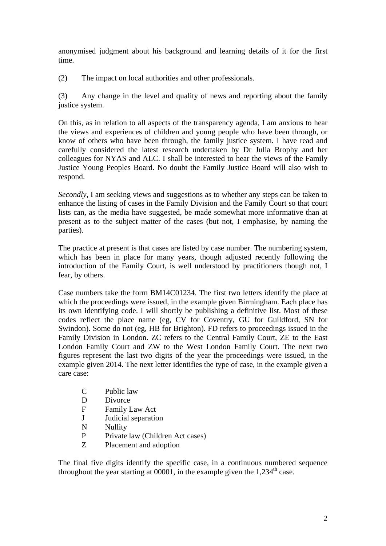anonymised judgment about his background and learning details of it for the first time.

(2) The impact on local authorities and other professionals.

(3) Any change in the level and quality of news and reporting about the family justice system.

On this, as in relation to all aspects of the transparency agenda, I am anxious to hear the views and experiences of children and young people who have been through, or know of others who have been through, the family justice system. I have read and carefully considered the latest research undertaken by Dr Julia Brophy and her colleagues for NYAS and ALC. I shall be interested to hear the views of the Family Justice Young Peoples Board. No doubt the Family Justice Board will also wish to respond.

*Secondly*, I am seeking views and suggestions as to whether any steps can be taken to enhance the listing of cases in the Family Division and the Family Court so that court lists can, as the media have suggested, be made somewhat more informative than at present as to the subject matter of the cases (but not, I emphasise, by naming the parties).

The practice at present is that cases are listed by case number. The numbering system, which has been in place for many years, though adjusted recently following the introduction of the Family Court, is well understood by practitioners though not, I fear, by others.

Case numbers take the form BM14C01234. The first two letters identify the place at which the proceedings were issued, in the example given Birmingham. Each place has its own identifying code. I will shortly be publishing a definitive list. Most of these codes reflect the place name (eg, CV for Coventry, GU for Guildford, SN for Swindon). Some do not (eg, HB for Brighton). FD refers to proceedings issued in the Family Division in London. ZC refers to the Central Family Court, ZE to the East London Family Court and ZW to the West London Family Court. The next two figures represent the last two digits of the year the proceedings were issued, in the example given 2014. The next letter identifies the type of case, in the example given a care case:

- C Public law
- D Divorce
- F Family Law Act
- J Judicial separation
- N Nullity
- P Private law (Children Act cases)
- Z Placement and adoption

The final five digits identify the specific case, in a continuous numbered sequence throughout the year starting at  $00001$ , in the example given the 1,234<sup>th</sup> case.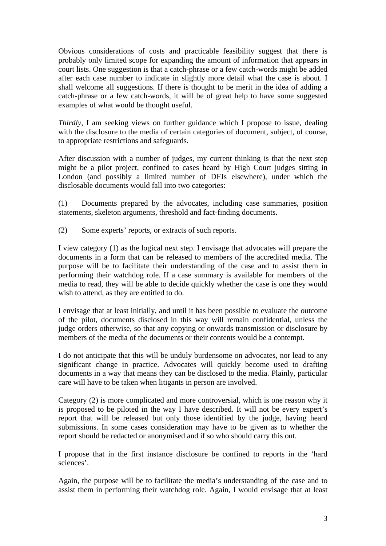Obvious considerations of costs and practicable feasibility suggest that there is probably only limited scope for expanding the amount of information that appears in court lists. One suggestion is that a catch-phrase or a few catch-words might be added after each case number to indicate in slightly more detail what the case is about. I shall welcome all suggestions. If there is thought to be merit in the idea of adding a catch-phrase or a few catch-words, it will be of great help to have some suggested examples of what would be thought useful.

*Thirdly*, I am seeking views on further guidance which I propose to issue, dealing with the disclosure to the media of certain categories of document, subject, of course, to appropriate restrictions and safeguards.

disclosable documents would fall into two categories: After discussion with a number of judges, my current thinking is that the next step might be a pilot project, confined to cases heard by High Court judges sitting in London (and possibly a limited number of DFJs elsewhere), under which the

 $\alpha$  Documents prepared by the advocates, including case summaries, position statements, skeleton arguments, threshold and fact-finding documents.

(2) Some experts' reports, or extracts of such reports.

I view category (1) as the logical next step. I envisage that advocates will prepare the documents in a form that can be released to members of the accredited media. The purpose will be to facilitate their understanding of the case and to assist them in performing their watchdog role. If a case summary is available for members of the media to read, they will be able to decide quickly whether the case is one they would wish to attend, as they are entitled to do.

I envisage that at least initially, and until it has been possible to evaluate the outcome of the pilot, documents disclosed in this way will remain confidential, unless the judge orders otherwise, so that any copying or onwards transmission or disclosure by members of the media of the documents or their contents would be a contempt.

I do not anticipate that this will be unduly burdensome on advocates, nor lead to any significant change in practice. Advocates will quickly become used to drafting documents in a way that means they can be disclosed to the media. Plainly, particular care will have to be taken when litigants in person are involved.

Category (2) is more complicated and more controversial, which is one reason why it is proposed to be piloted in the way I have described. It will not be every expert's report that will be released but only those identified by the judge, having heard submissions. In some cases consideration may have to be given as to whether the report should be redacted or anonymised and if so who should carry this out.

I propose that in the first instance disclosure be confined to reports in the 'hard sciences'.

Again, the purpose will be to facilitate the media's understanding of the case and to assist them in performing their watchdog role. Again, I would envisage that at least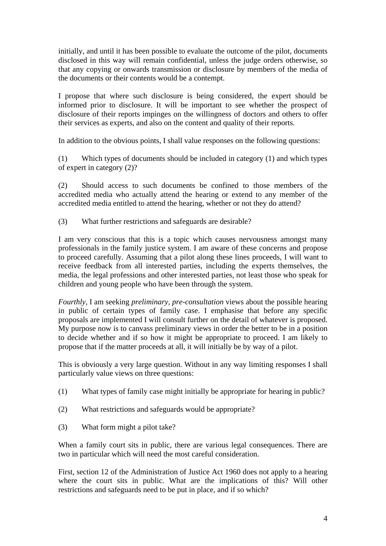initially, and until it has been possible to evaluate the outcome of the pilot, documents disclosed in this way will remain confidential, unless the judge orders otherwise, so that any copying or onwards transmission or disclosure by members of the media of the documents or their contents would be a contempt.

I propose that where such disclosure is being considered, the expert should be informed prior to disclosure. It will be important to see whether the prospect of disclosure of their reports impinges on the willingness of doctors and others to offer their services as experts, and also on the content and quality of their reports.

In addition to the obvious points, I shall value responses on the following questions:

(1) Which types of documents should be included in category (1) and which types of expert in category (2)?

(2) Should access to such documents be confined to those members of the accredited media who actually attend the hearing or extend to any member of the accredited media entitled to attend the hearing, whether or not they do attend?

What further restrictions and safeguards are desirable?

(3) What further restrictions and safeguards are desirable? I am very conscious that this is a topic which causes nervousness amongst many professionals in the family justice system. I am aware of these concerns and propose to proceed carefully. Assuming that a pilot along these lines proceeds, I will want to receive feedback from all interested parties, including the experts themselves, the media, the legal professions and other interested parties, not least those who speak for children and young people who have been through the system.

*Fourthly*, I am seeking *preliminary, pre-consultation* views about the possible hearing in public of certain types of family case. I emphasise that before any specific proposals are implemented I will consult further on the detail of whatever is proposed. My purpose now is to canvass preliminary views in order the better to be in a position to decide whether and if so how it might be appropriate to proceed. I am likely to propose that if the matter proceeds at all, it will initially be by way of a pilot.

This is obviously a very large question. Without in any way limiting responses I shall particularly value views on three questions:

- (1) What types of family case might initially be appropriate for hearing in public?
- (2) What restrictions and safeguards would be appropriate?
- (3) What form might a pilot take?

When a family court sits in public, there are various legal consequences. There are two in particular which will need the most careful consideration.

First, section 12 of the Administration of Justice Act 1960 does not apply to a hearing where the court sits in public. What are the implications of this? Will other restrictions and safeguards need to be put in place, and if so which?